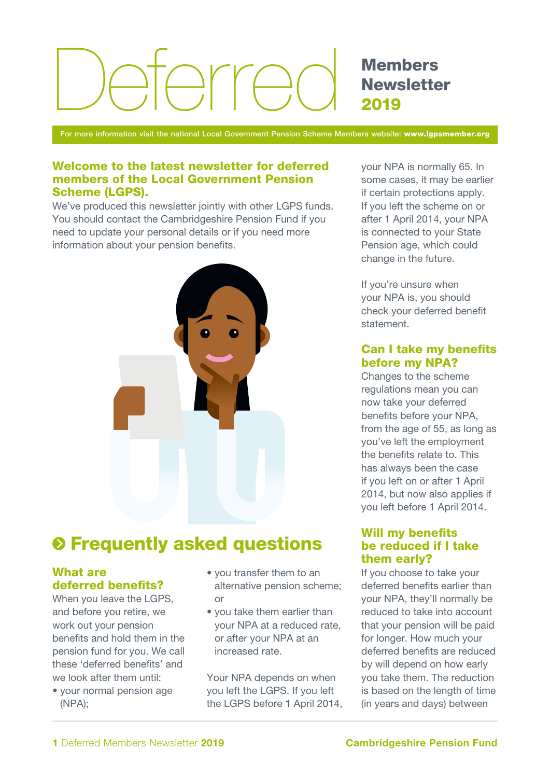# $\supset$ rr $\bigcap$

Members **Newsletter** 2019

For more information visit the national Local Government Pension Scheme Members website: www.lgpsmember.org

#### Welcome to the latest newsletter for deferred members of the Local Government Pension Scheme (LGPS).

We've produced this newsletter jointly with other LGPS funds. You should contact the Cambridgeshire Pension Fund if you need to update your personal details or if you need more information about your pension benefits.



# $\odot$  **Frequently asked questions**

# What are deferred benefits?

When you leave the LGPS, and before you retire, we work out your pension benefits and hold them in the pension fund for you. We call these 'deferred benefits' and we look after them until:

• your normal pension age (NPA);

- you transfer them to an alternative pension scheme; or
- you take them earlier than your NPA at a reduced rate, or after your NPA at an increased rate.

Your NPA depends on when you left the LGPS. If you left the LGPS before 1 April 2014, your NPA is normally 65. In some cases, it may be earlier if certain protections apply. If you left the scheme on or after 1 April 2014, your NPA is connected to your State Pension age, which could change in the future.

If you're unsure when your NPA is, you should check your deferred benefit statement.

## Can I take my benefits before my NPA?

Changes to the scheme regulations mean you can now take your deferred benefits before your NPA, from the age of 55, as long as you've left the employment the benefits relate to. This has always been the case if you left on or after 1 April 2014, but now also applies if you left before 1 April 2014.

# Will my benefits be reduced if I take them early?

If you choose to take your deferred benefits earlier than your NPA, they'll normally be reduced to take into account that your pension will be paid for longer. How much your deferred benefits are reduced by will depend on how early you take them. The reduction is based on the length of time (in years and days) between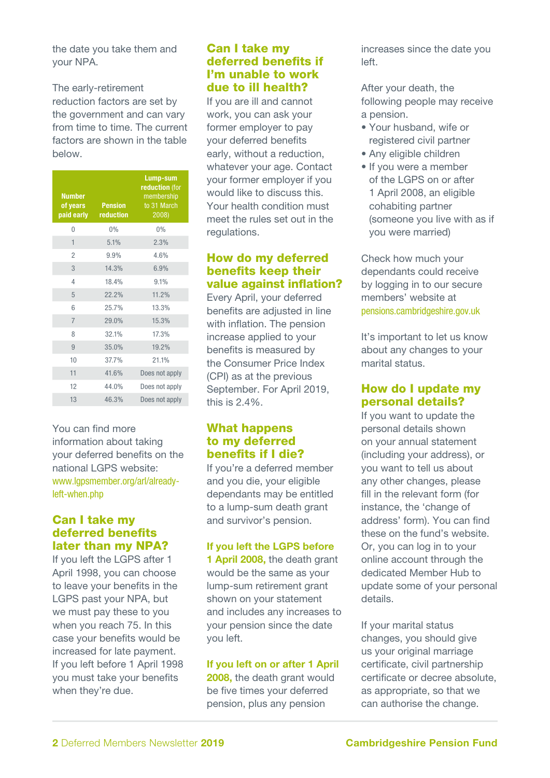the date you take them and your NPA.

The early-retirement reduction factors are set by the government and can vary from time to time. The current factors are shown in the table below.

| <b>Number</b><br>of years<br>paid early | <b>Pension</b><br>reduction | Lump-sum<br>reduction (for<br>membership<br>to 31 March<br>2008) |
|-----------------------------------------|-----------------------------|------------------------------------------------------------------|
| $\overline{0}$                          | 0%                          | 0%                                                               |
| 1                                       | 5.1%                        | 2.3%                                                             |
| $\overline{2}$                          | 9.9%                        | 4.6%                                                             |
| 3                                       | 14.3%                       | 6.9%                                                             |
| 4                                       | 18.4%                       | 9.1%                                                             |
| 5                                       | 22.2%                       | 11.2%                                                            |
| 6                                       | 25.7%                       | 13.3%                                                            |
| $\overline{7}$                          | 29.0%                       | 15.3%                                                            |
| 8                                       | 32.1%                       | 17.3%                                                            |
| 9                                       | 35.0%                       | 19.2%                                                            |
| 10                                      | 37.7%                       | 21.1%                                                            |
| 11                                      | 41.6%                       | Does not apply                                                   |
| 12                                      | 44.0%                       | Does not apply                                                   |
| 13                                      | 46.3%                       | Does not apply                                                   |

You can find more information about taking your deferred benefits on the national LGPS website: www.lgpsmember.org/arl/alreadyleft-when.php

### Can I take my deferred benefits later than my NPA?

If you left the LGPS after 1 April 1998, you can choose to leave your benefits in the LGPS past your NPA, but we must pay these to you when you reach 75. In this case your benefits would be increased for late payment. If you left before 1 April 1998 you must take your benefits when they're due.

#### Can I take my deferred benefits if I'm unable to work due to ill health?

If you are ill and cannot work, you can ask your former employer to pay your deferred benefits early, without a reduction, whatever your age. Contact your former employer if you would like to discuss this. Your health condition must meet the rules set out in the regulations.

# How do my deferred benefits keep their value against inflation?

Every April, your deferred benefits are adjusted in line with inflation. The pension increase applied to your benefits is measured by the Consumer Price Index (CPI) as at the previous September. For April 2019, this is 2.4%.

## What happens to my deferred benefits if I die?

If you're a deferred member and you die, your eligible dependants may be entitled to a lump-sum death grant and survivor's pension.

## If you left the LGPS before

1 April 2008, the death grant would be the same as your lump-sum retirement grant shown on your statement and includes any increases to your pension since the date you left.

#### If you left on or after 1 April

2008, the death grant would be five times your deferred pension, plus any pension

increases since the date you left.

After your death, the following people may receive a pension.

- Your husband, wife or registered civil partner
- Any eligible children
- If you were a member of the LGPS on or after 1 April 2008, an eligible cohabiting partner (someone you live with as if you were married)

Check how much your dependants could receive by logging in to our secure members' website at pensions.cambridgeshire.gov.uk

It's important to let us know about any changes to your marital status.

# How do I update my personal details?

If you want to update the personal details shown on your annual statement (including your address), or you want to tell us about any other changes, please fill in the relevant form (for instance, the 'change of address' form). You can find these on the fund's website. Or, you can log in to your online account through the dedicated Member Hub to update some of your personal details.

If your marital status changes, you should give us your original marriage certificate, civil partnership certificate or decree absolute, as appropriate, so that we can authorise the change.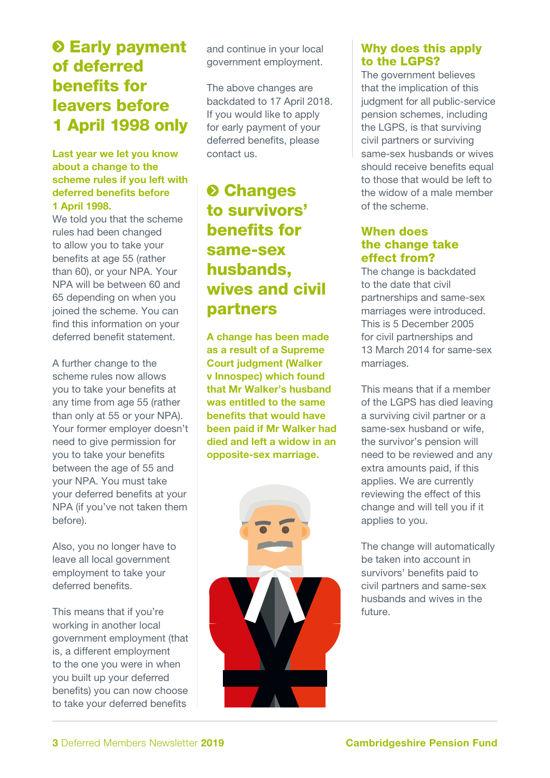# $\odot$  **Early payment** of deferred benefits for leavers before 1 April 1998 only

#### Last year we let you know about a change to the scheme rules if you left with deferred benefits before 1 April 1998.

We told you that the scheme rules had been changed to allow you to take your benefits at age 55 (rather than 60), or your NPA. Your NPA will be between 60 and 65 depending on when you joined the scheme. You can find this information on your deferred benefit statement.

A further change to the scheme rules now allows you to take your benefits at any time from age 55 (rather than only at 55 or your NPA). Your former employer doesn't need to give permission for you to take your benefits between the age of 55 and your NPA. You must take your deferred benefits at your NPA (if you've not taken them before).

Also, you no longer have to leave all local government employment to take your deferred benefits.

This means that if you're working in another local government employment (that is, a different employment to the one you were in when you built up your deferred benefits) you can now choose to take your deferred benefits

and continue in your local government employment.

The above changes are backdated to 17 April 2018. If you would like to apply for early payment of your deferred benefits, please contact us.

# **<sup>O</sup>** Changes to survivors' benefits for same-sex husbands, wives and civil partners

A change has been made as a result of a Supreme Court judgment (Walker v Innospec) which found that Mr Walker's husband was entitled to the same benefits that would have been paid if Mr Walker had died and left a widow in an opposite-sex marriage.



# Why does this apply to the LGPS?

The government believes that the implication of this judgment for all public-service pension schemes, including the LGPS, is that surviving civil partners or surviving same-sex husbands or wives should receive benefits equal to those that would be left to the widow of a male member of the scheme.

## When does the change take effect from?

The change is backdated to the date that civil partnerships and same-sex marriages were introduced. This is 5 December 2005 for civil partnerships and 13 March 2014 for same-sex marriages.

This means that if a member of the LGPS has died leaving a surviving civil partner or a same-sex husband or wife, the survivor's pension will need to be reviewed and any extra amounts paid, if this applies. We are currently reviewing the effect of this change and will tell you if it applies to you.

The change will automatically be taken into account in survivors' benefits paid to civil partners and same-sex husbands and wives in the future.